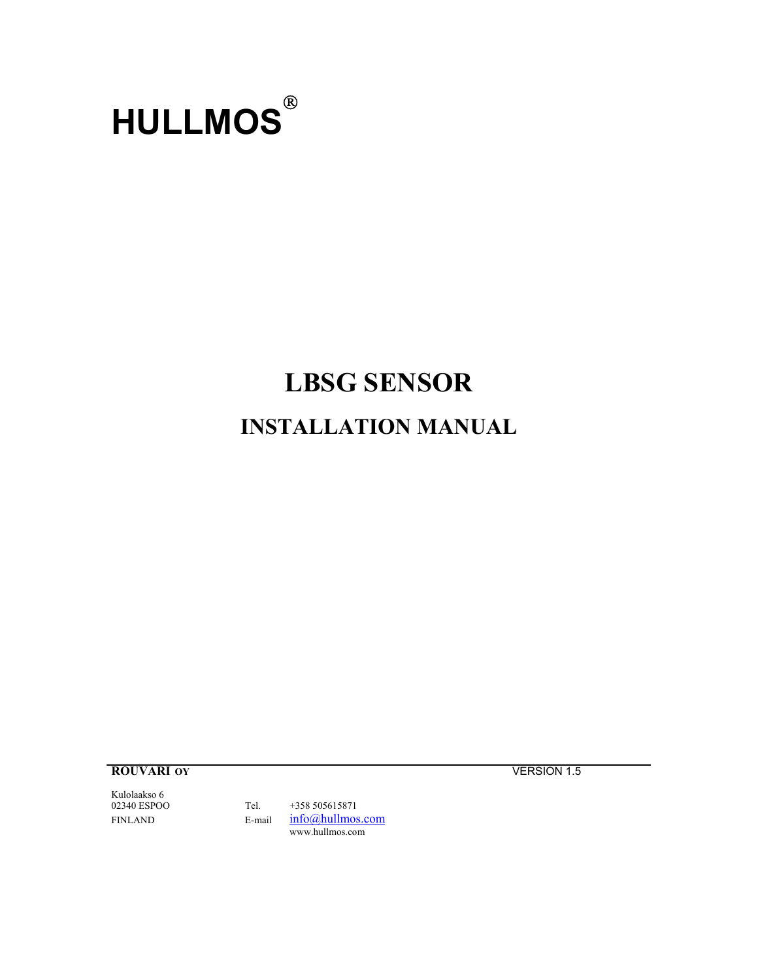

# **LBSG SENSOR INSTALLATION MANUAL**

**ROUVARI OY VERSION** 1.5

Kulolaakso 6<br>02340 ESPOO

Tel. +358 505615871 FINLAND E-mail  $info@hullmos.com$ www.hullmos.com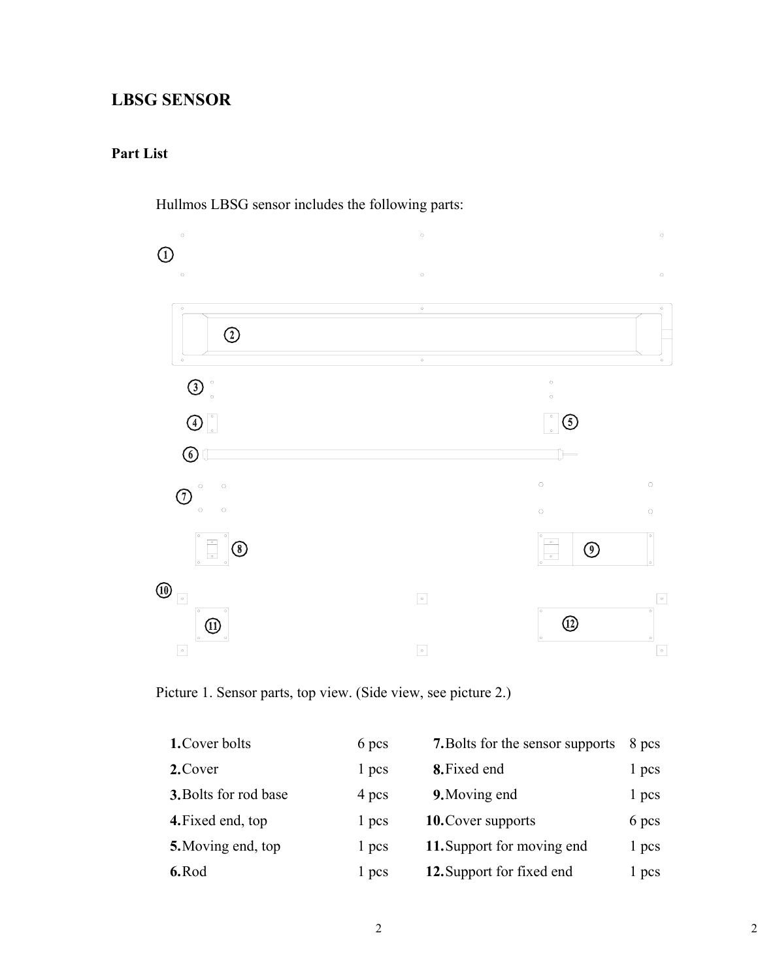## **LBSG SENSOR**

### **Part List**



Hullmos LBSG sensor includes the following parts:

Picture 1. Sensor parts, top view. (Side view, see picture 2.)

| 1. Cover bolts        | 6 pcs | <b>7.</b> Bolts for the sensor supports | 8 pcs |
|-----------------------|-------|-----------------------------------------|-------|
| 2. Cover              | 1 pcs | 8. Fixed end                            | 1 pcs |
| 3. Bolts for rod base | 4 pcs | 9. Moving end                           | 1 pcs |
| 4. Fixed end, top     | 1 pcs | <b>10. Cover supports</b>               | 6 pcs |
| 5. Moving end, top    | 1 pcs | 11. Support for moving end              | 1 pcs |
| 6.Rod                 | 1 pcs | 12. Support for fixed end               | l pcs |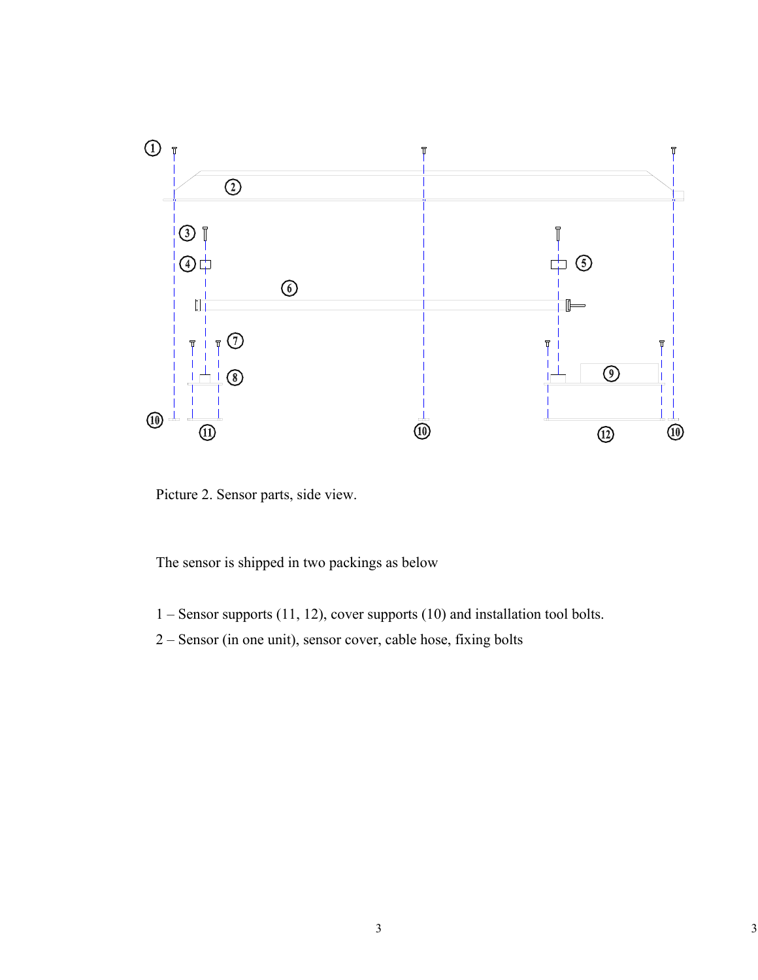

Picture 2. Sensor parts, side view.

The sensor is shipped in two packings as below

- 1 Sensor supports (11, 12), cover supports (10) and installation tool bolts.
- 2 Sensor (in one unit), sensor cover, cable hose, fixing bolts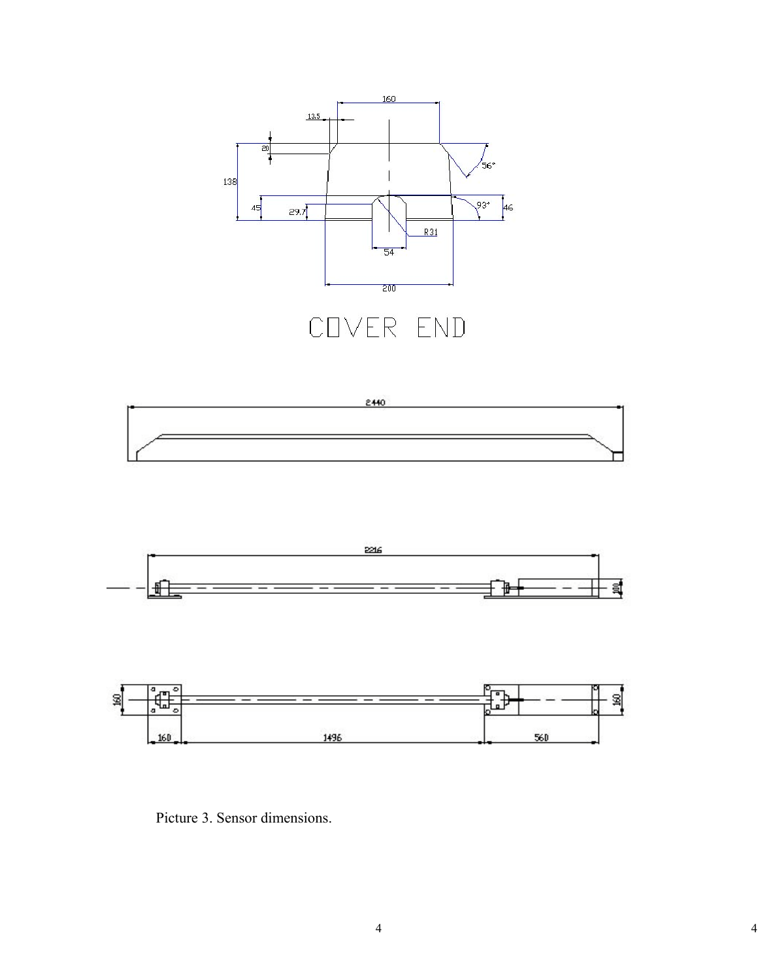







Picture 3. Sensor dimensions.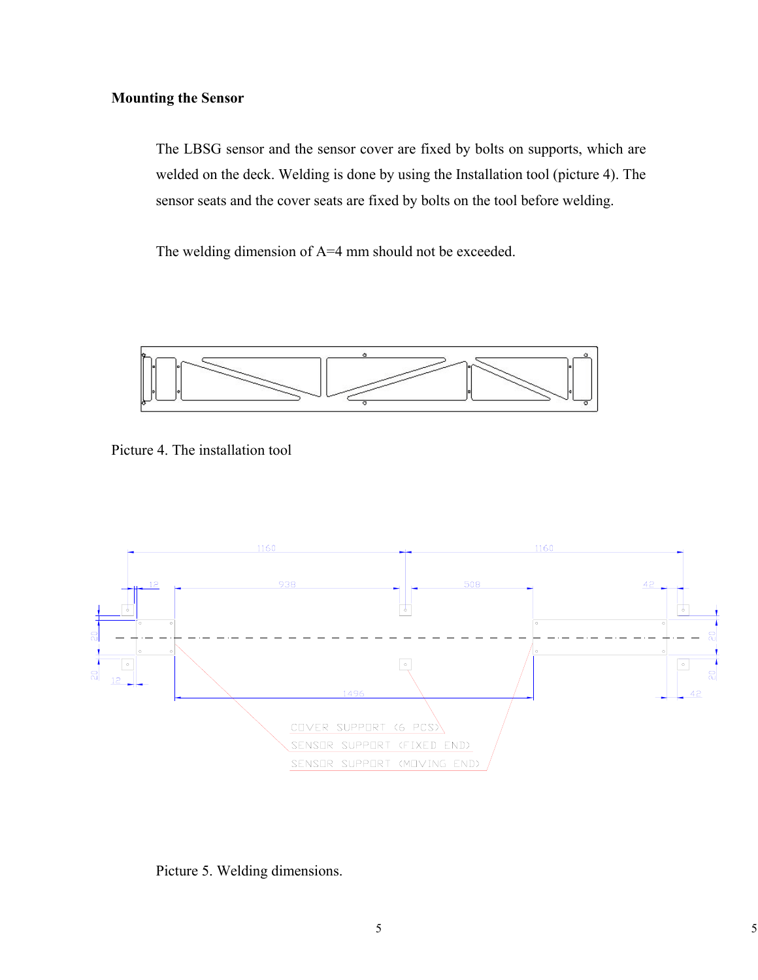#### **Mounting the Sensor**

The LBSG sensor and the sensor cover are fixed by bolts on supports, which are welded on the deck. Welding is done by using the Installation tool (picture 4). The sensor seats and the cover seats are fixed by bolts on the tool before welding.

The welding dimension of A=4 mm should not be exceeded.



Picture 4. The installation tool



Picture 5. Welding dimensions.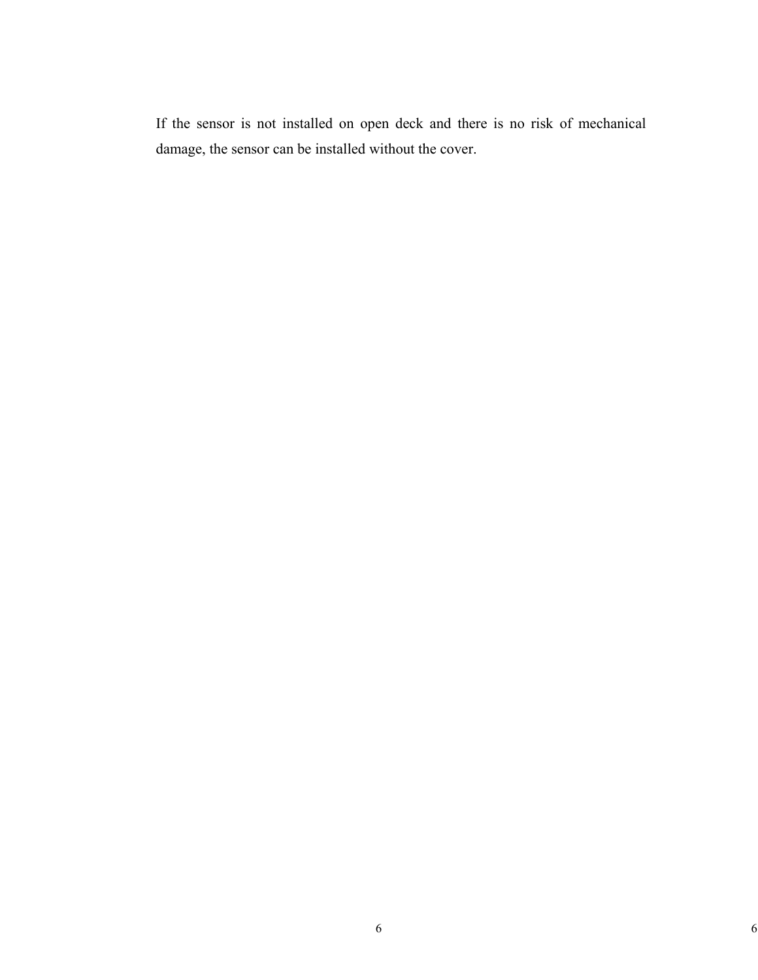If the sensor is not installed on open deck and there is no risk of mechanical damage, the sensor can be installed without the cover.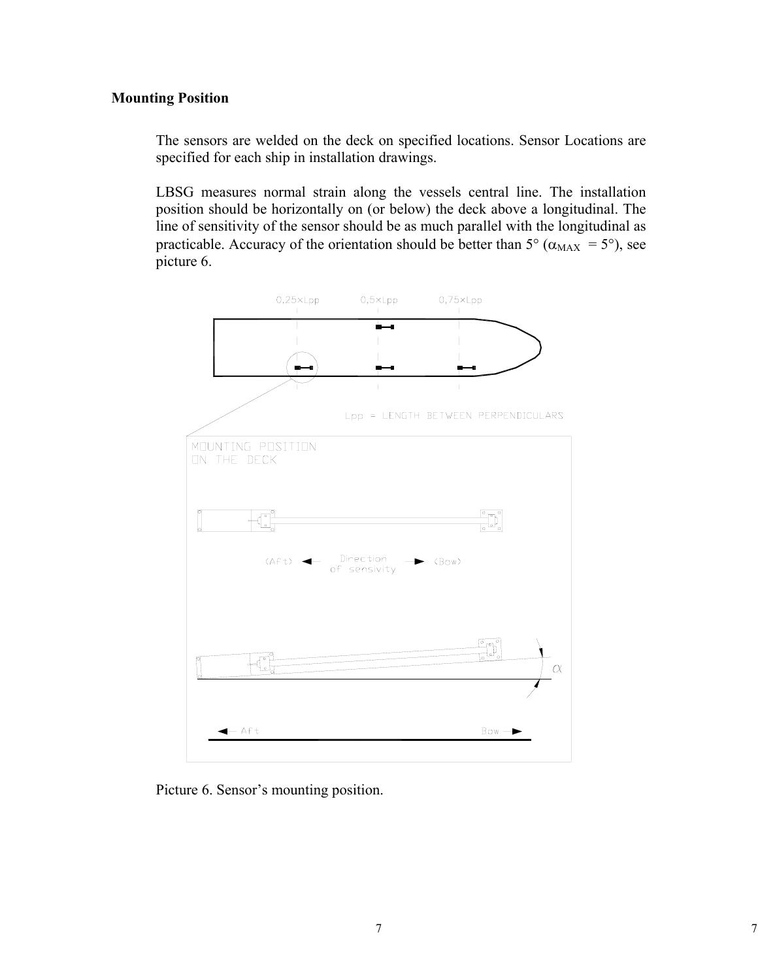#### **Mounting Position**

The sensors are welded on the deck on specified locations. Sensor Locations are specified for each ship in installation drawings.

LBSG measures normal strain along the vessels central line. The installation position should be horizontally on (or below) the deck above a longitudinal. The line of sensitivity of the sensor should be as much parallel with the longitudinal as practicable. Accuracy of the orientation should be better than  $5^{\circ}$  ( $\alpha_{MAX} = 5^{\circ}$ ), see picture 6.



Picture 6. Sensor's mounting position.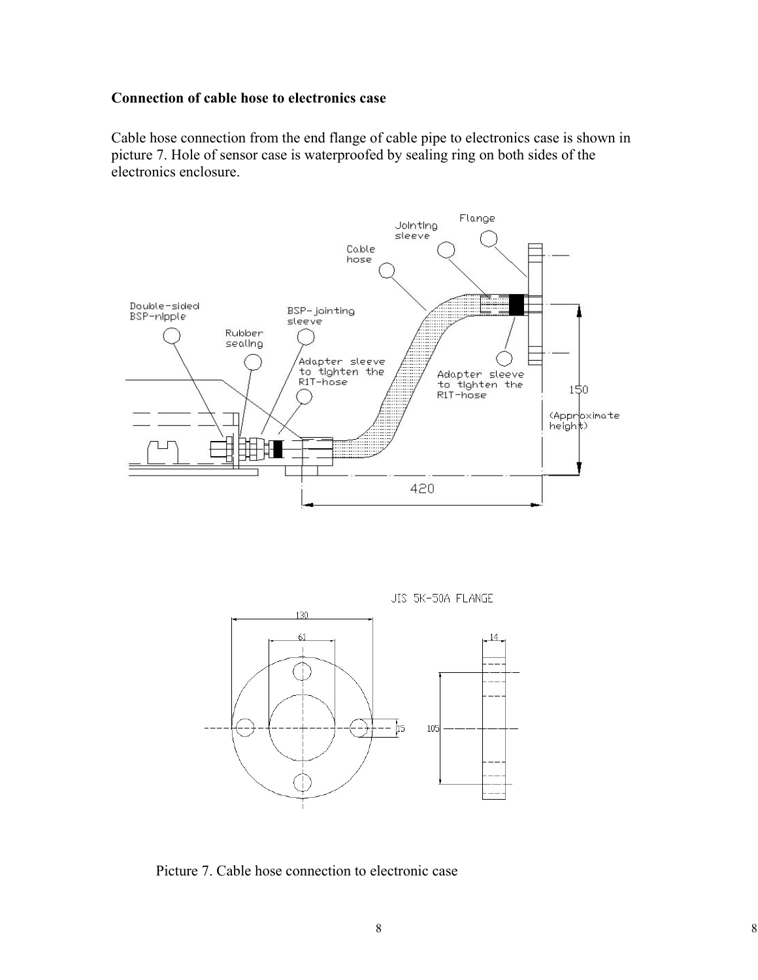#### **Connection of cable hose to electronics case**

Cable hose connection from the end flange of cable pipe to electronics case is shown in picture 7. Hole of sensor case is waterproofed by sealing ring on both sides of the electronics enclosure.



JIS 5K-50A FLANGE



Picture 7. Cable hose connection to electronic case